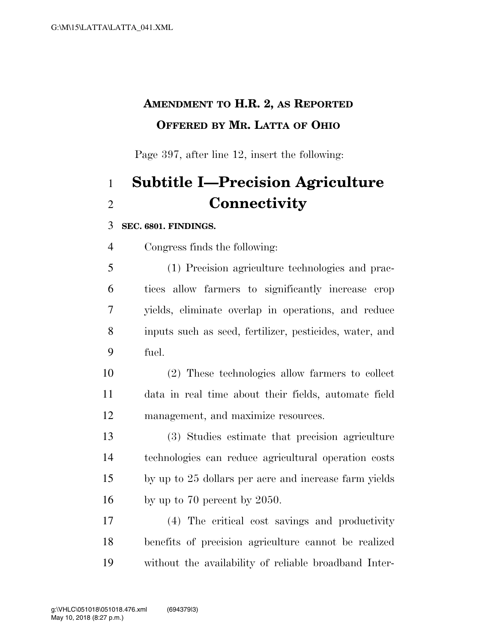## **AMENDMENT TO H.R. 2, AS REPORTED OFFERED BY MR. LATTA OF OHIO**

Page 397, after line 12, insert the following:

## **Subtitle I—Precision Agriculture Connectivity**

## **SEC. 6801. FINDINGS.**

Congress finds the following:

 (1) Precision agriculture technologies and prac- tices allow farmers to significantly increase crop yields, eliminate overlap in operations, and reduce inputs such as seed, fertilizer, pesticides, water, and fuel.

 (2) These technologies allow farmers to collect data in real time about their fields, automate field management, and maximize resources.

 (3) Studies estimate that precision agriculture technologies can reduce agricultural operation costs by up to 25 dollars per acre and increase farm yields by up to 70 percent by 2050.

 (4) The critical cost savings and productivity benefits of precision agriculture cannot be realized without the availability of reliable broadband Inter-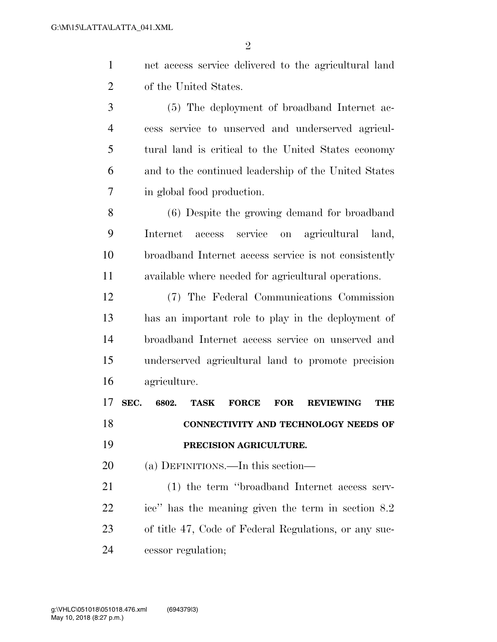net access service delivered to the agricultural land of the United States.

 (5) The deployment of broadband Internet ac- cess service to unserved and underserved agricul- tural land is critical to the United States economy and to the continued leadership of the United States in global food production.

 (6) Despite the growing demand for broadband Internet access service on agricultural land, broadband Internet access service is not consistently available where needed for agricultural operations.

 (7) The Federal Communications Commission has an important role to play in the deployment of broadband Internet access service on unserved and underserved agricultural land to promote precision agriculture.

 **SEC. 6802. TASK FORCE FOR REVIEWING THE CONNECTIVITY AND TECHNOLOGY NEEDS OF PRECISION AGRICULTURE.** 

(a) DEFINITIONS.—In this section—

 (1) the term ''broadband Internet access serv- ice'' has the meaning given the term in section 8.2 of title 47, Code of Federal Regulations, or any suc-cessor regulation;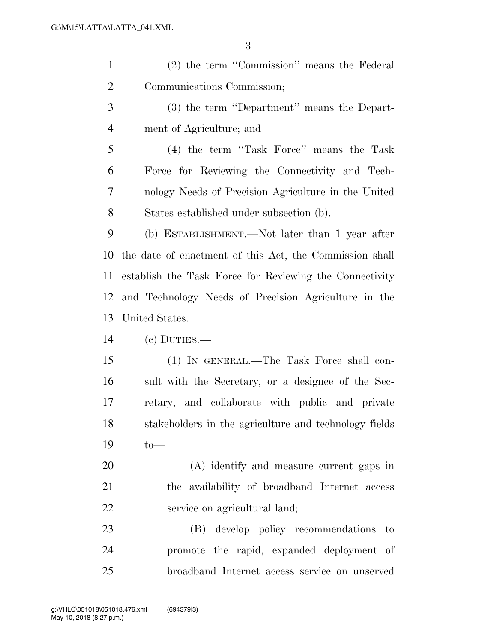| $\mathbf{1}$   | (2) the term "Commission" means the Federal             |
|----------------|---------------------------------------------------------|
| $\overline{2}$ | Communications Commission;                              |
| 3              | (3) the term "Department" means the Depart-             |
| $\overline{4}$ | ment of Agriculture; and                                |
| 5              | (4) the term "Task Force" means the Task                |
| 6              | Force for Reviewing the Connectivity and Tech-          |
| $\overline{7}$ | nology Needs of Precision Agriculture in the United     |
| 8              | States established under subsection (b).                |
| 9              | (b) ESTABLISHMENT.—Not later than 1 year after          |
| 10             | the date of enactment of this Act, the Commission shall |
| 11             | establish the Task Force for Reviewing the Connectivity |
| 12             | and Technology Needs of Precision Agriculture in the    |
| 13             | United States.                                          |
| 14             | $(c)$ DUTIES.—                                          |
| 15             | (1) IN GENERAL.—The Task Force shall con-               |
| 16             | sult with the Secretary, or a designee of the Sec-      |
| 17             | retary, and collaborate with public and private         |
| 18             | stakeholders in the agriculture and technology fields   |
| 19             | $to-$                                                   |
| 20             | (A) identify and measure current gaps in                |
| 21             | the availability of broadband Internet access           |
| 22             | service on agricultural land;                           |
| 23             | develop policy recommendations to<br>(B)                |
| 24             | promote the rapid, expanded deployment of               |
| 25             | broadband Internet access service on unserved           |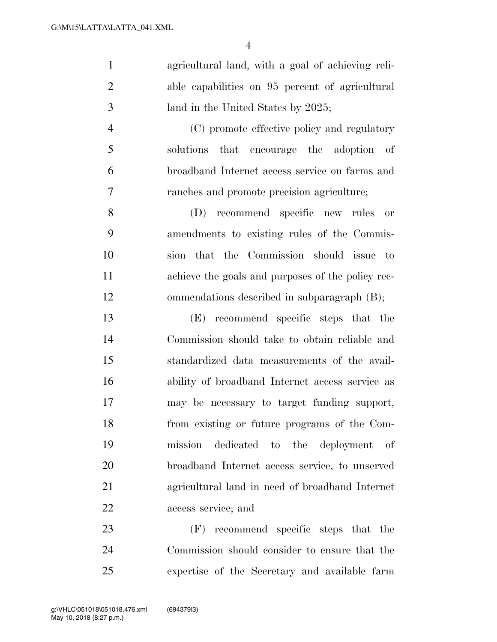agricultural land, with a goal of achieving reli- able capabilities on 95 percent of agricultural 3 land in the United States by 2025; (C) promote effective policy and regulatory solutions that encourage the adoption of broadband Internet access service on farms and ranches and promote precision agriculture; (D) recommend specific new rules or

 amendments to existing rules of the Commis- sion that the Commission should issue to achieve the goals and purposes of the policy rec-ommendations described in subparagraph (B);

 (E) recommend specific steps that the Commission should take to obtain reliable and standardized data measurements of the avail- ability of broadband Internet access service as may be necessary to target funding support, from existing or future programs of the Com- mission dedicated to the deployment of broadband Internet access service, to unserved agricultural land in need of broadband Internet access service; and

 (F) recommend specific steps that the Commission should consider to ensure that the expertise of the Secretary and available farm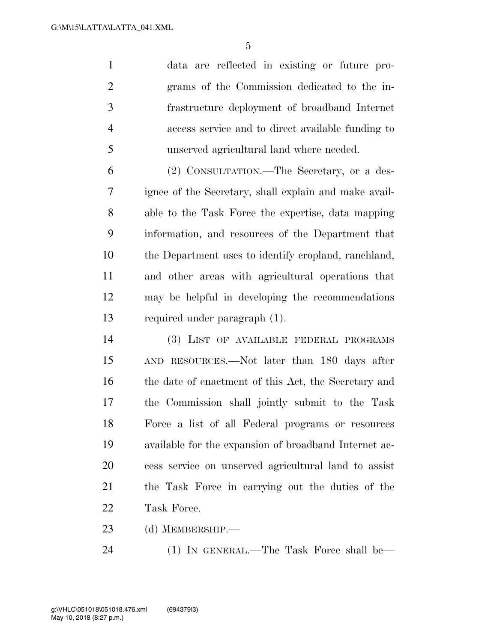data are reflected in existing or future pro- grams of the Commission dedicated to the in- frastructure deployment of broadband Internet access service and to direct available funding to unserved agricultural land where needed.

 (2) CONSULTATION.—The Secretary, or a des- ignee of the Secretary, shall explain and make avail- able to the Task Force the expertise, data mapping information, and resources of the Department that the Department uses to identify cropland, ranchland, and other areas with agricultural operations that may be helpful in developing the recommendations required under paragraph (1).

 (3) LIST OF AVAILABLE FEDERAL PROGRAMS AND RESOURCES.—Not later than 180 days after 16 the date of enactment of this Act, the Secretary and the Commission shall jointly submit to the Task Force a list of all Federal programs or resources available for the expansion of broadband Internet ac- cess service on unserved agricultural land to assist the Task Force in carrying out the duties of the Task Force.

(d) MEMBERSHIP.—

24 (1) IN GENERAL.—The Task Force shall be—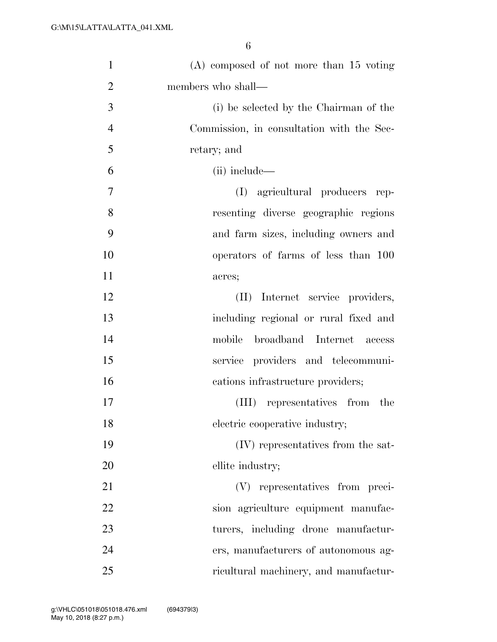| $\mathbf{1}$   | $(A)$ composed of not more than 15 voting |
|----------------|-------------------------------------------|
| $\overline{2}$ | members who shall—                        |
| 3              | (i) be selected by the Chairman of the    |
| $\overline{4}$ | Commission, in consultation with the Sec- |
| 5              | retary; and                               |
| 6              | (ii) include—                             |
| 7              | agricultural producers rep-<br>(I)        |
| 8              | resenting diverse geographic regions      |
| 9              | and farm sizes, including owners and      |
| 10             | operators of farms of less than 100       |
| 11             | acres;                                    |
| 12             | (II) Internet service providers,          |
| 13             | including regional or rural fixed and     |
| 14             | mobile<br>broadband Internet access       |
| 15             | service providers and telecommuni-        |
| 16             | cations infrastructure providers;         |
| 17             | representatives from the<br>(III)         |
| 18             | electric cooperative industry;            |
| 19             | (IV) representatives from the sat-        |
| 20             | ellite industry;                          |
| 21             | (V) representatives from preci-           |
| 22             | sion agriculture equipment manufac-       |
| 23             | turers, including drone manufactur-       |
| 24             | ers, manufacturers of autonomous ag-      |
| 25             | ricultural machinery, and manufactur-     |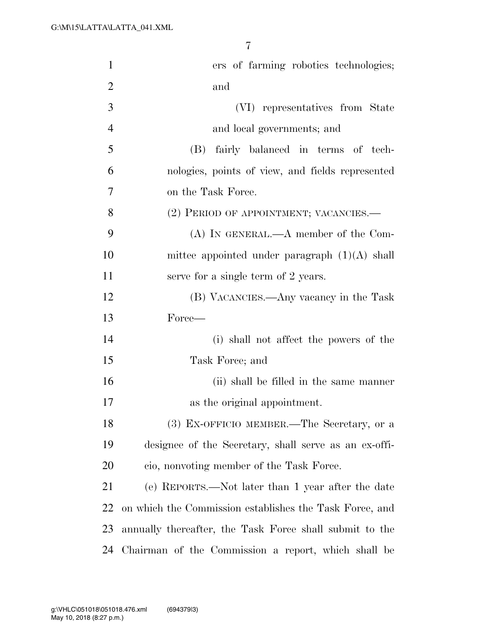| $\mathbf{1}$   | ers of farming robotics technologies;                   |
|----------------|---------------------------------------------------------|
| $\overline{2}$ | and                                                     |
| 3              | (VI) representatives from State                         |
| $\overline{4}$ | and local governments; and                              |
| 5              | (B) fairly balanced in terms of tech-                   |
| 6              | nologies, points of view, and fields represented        |
| $\overline{7}$ | on the Task Force.                                      |
| 8              | (2) PERIOD OF APPOINTMENT; VACANCIES.—                  |
| 9              | $(A)$ In GENERAL.— $A$ member of the Com-               |
| 10             | mittee appointed under paragraph $(1)(A)$ shall         |
| 11             | serve for a single term of 2 years.                     |
| 12             | (B) VACANCIES.—Any vacancy in the Task                  |
| 13             | Force—                                                  |
| 14             | (i) shall not affect the powers of the                  |
| 15             | Task Force; and                                         |
| 16             | (ii) shall be filled in the same manner                 |
| 17             | as the original appointment.                            |
| 18             | (3) EX-OFFICIO MEMBER. The Secretary, or a              |
| 19             | designee of the Secretary, shall serve as an ex-offi-   |
| 20             | cio, nonvoting member of the Task Force.                |
| 21             | (e) REPORTS.—Not later than 1 year after the date       |
| 22             | on which the Commission establishes the Task Force, and |
| 23             | annually thereafter, the Task Force shall submit to the |
| 24             | Chairman of the Commission a report, which shall be     |